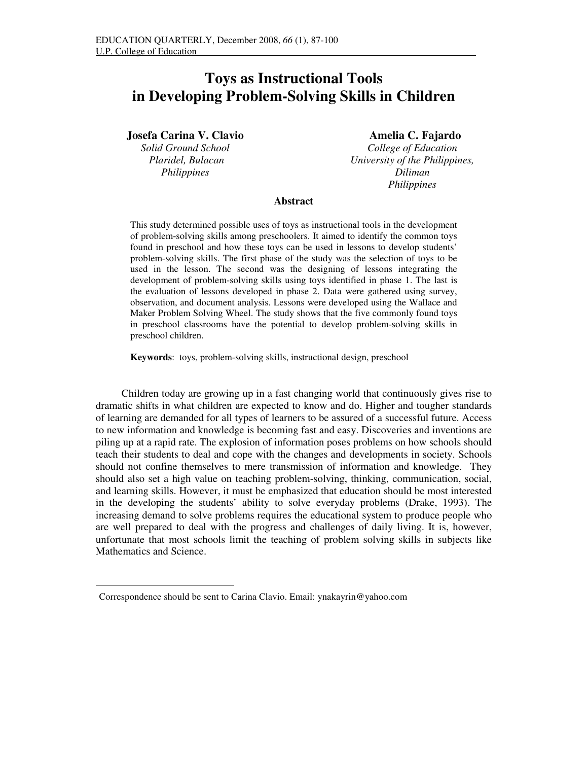# **Toys as Instructional Tools in Developing Problem-Solving Skills in Children**

**Josefa Carina V. Clavio** 

*Solid Ground School Plaridel, Bulacan Philippines* 

*<sup>1</sup>* **Amelia C. Fajardo**

*College of Education University of the Philippines, Diliman Philippines* 

## **Abstract**

This study determined possible uses of toys as instructional tools in the development of problem-solving skills among preschoolers. It aimed to identify the common toys found in preschool and how these toys can be used in lessons to develop students' problem-solving skills. The first phase of the study was the selection of toys to be used in the lesson. The second was the designing of lessons integrating the development of problem-solving skills using toys identified in phase 1. The last is the evaluation of lessons developed in phase 2. Data were gathered using survey, observation, and document analysis. Lessons were developed using the Wallace and Maker Problem Solving Wheel. The study shows that the five commonly found toys in preschool classrooms have the potential to develop problem-solving skills in preschool children.

**Keywords**: toys, problem-solving skills, instructional design, preschool

Children today are growing up in a fast changing world that continuously gives rise to dramatic shifts in what children are expected to know and do. Higher and tougher standards of learning are demanded for all types of learners to be assured of a successful future. Access to new information and knowledge is becoming fast and easy. Discoveries and inventions are piling up at a rapid rate. The explosion of information poses problems on how schools should teach their students to deal and cope with the changes and developments in society. Schools should not confine themselves to mere transmission of information and knowledge. They should also set a high value on teaching problem-solving, thinking, communication, social, and learning skills. However, it must be emphasized that education should be most interested in the developing the students' ability to solve everyday problems (Drake, 1993). The increasing demand to solve problems requires the educational system to produce people who are well prepared to deal with the progress and challenges of daily living. It is, however, unfortunate that most schools limit the teaching of problem solving skills in subjects like Mathematics and Science.

j.

<sup>1</sup> Correspondence should be sent to Carina Clavio. Email: ynakayrin@yahoo.com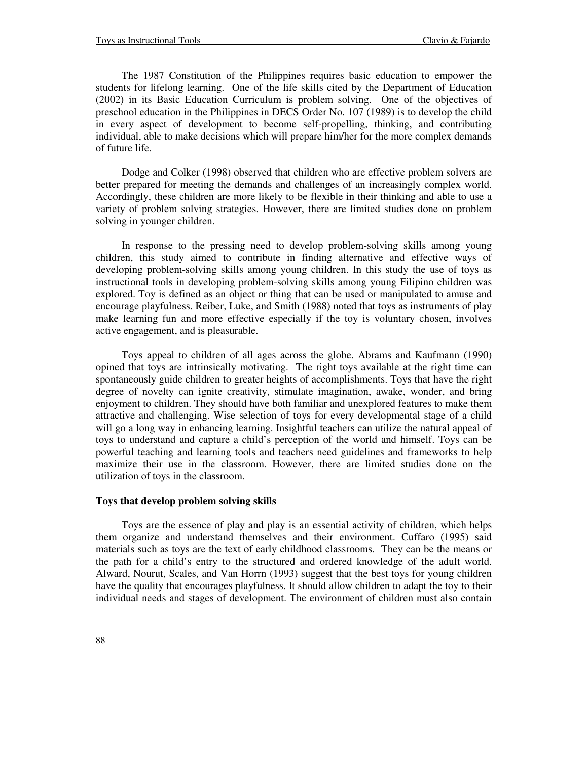The 1987 Constitution of the Philippines requires basic education to empower the students for lifelong learning. One of the life skills cited by the Department of Education (2002) in its Basic Education Curriculum is problem solving. One of the objectives of preschool education in the Philippines in DECS Order No. 107 (1989) is to develop the child in every aspect of development to become self-propelling, thinking, and contributing individual, able to make decisions which will prepare him/her for the more complex demands of future life.

Dodge and Colker (1998) observed that children who are effective problem solvers are better prepared for meeting the demands and challenges of an increasingly complex world. Accordingly, these children are more likely to be flexible in their thinking and able to use a variety of problem solving strategies. However, there are limited studies done on problem solving in younger children.

In response to the pressing need to develop problem-solving skills among young children, this study aimed to contribute in finding alternative and effective ways of developing problem-solving skills among young children. In this study the use of toys as instructional tools in developing problem-solving skills among young Filipino children was explored. Toy is defined as an object or thing that can be used or manipulated to amuse and encourage playfulness. Reiber, Luke, and Smith (1988) noted that toys as instruments of play make learning fun and more effective especially if the toy is voluntary chosen, involves active engagement, and is pleasurable.

Toys appeal to children of all ages across the globe. Abrams and Kaufmann (1990) opined that toys are intrinsically motivating. The right toys available at the right time can spontaneously guide children to greater heights of accomplishments. Toys that have the right degree of novelty can ignite creativity, stimulate imagination, awake, wonder, and bring enjoyment to children. They should have both familiar and unexplored features to make them attractive and challenging. Wise selection of toys for every developmental stage of a child will go a long way in enhancing learning. Insightful teachers can utilize the natural appeal of toys to understand and capture a child's perception of the world and himself. Toys can be powerful teaching and learning tools and teachers need guidelines and frameworks to help maximize their use in the classroom. However, there are limited studies done on the utilization of toys in the classroom.

#### **Toys that develop problem solving skills**

Toys are the essence of play and play is an essential activity of children, which helps them organize and understand themselves and their environment. Cuffaro (1995) said materials such as toys are the text of early childhood classrooms. They can be the means or the path for a child's entry to the structured and ordered knowledge of the adult world. Alward, Nourut, Scales, and Van Horrn (1993) suggest that the best toys for young children have the quality that encourages playfulness. It should allow children to adapt the toy to their individual needs and stages of development. The environment of children must also contain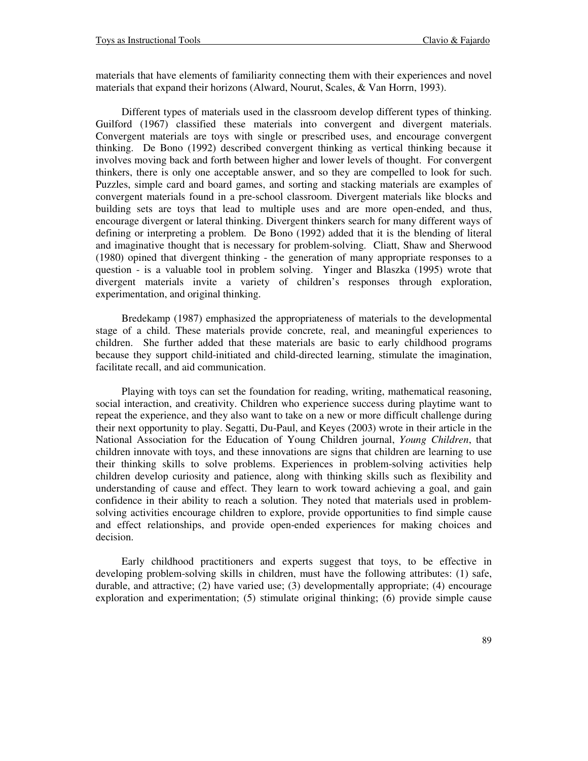materials that have elements of familiarity connecting them with their experiences and novel materials that expand their horizons (Alward, Nourut, Scales, & Van Horrn, 1993).

Different types of materials used in the classroom develop different types of thinking. Guilford (1967) classified these materials into convergent and divergent materials. Convergent materials are toys with single or prescribed uses, and encourage convergent thinking. De Bono (1992) described convergent thinking as vertical thinking because it involves moving back and forth between higher and lower levels of thought. For convergent thinkers, there is only one acceptable answer, and so they are compelled to look for such. Puzzles, simple card and board games, and sorting and stacking materials are examples of convergent materials found in a pre-school classroom. Divergent materials like blocks and building sets are toys that lead to multiple uses and are more open-ended, and thus, encourage divergent or lateral thinking. Divergent thinkers search for many different ways of defining or interpreting a problem. De Bono (1992) added that it is the blending of literal and imaginative thought that is necessary for problem-solving. Cliatt, Shaw and Sherwood (1980) opined that divergent thinking - the generation of many appropriate responses to a question - is a valuable tool in problem solving. Yinger and Blaszka (1995) wrote that divergent materials invite a variety of children's responses through exploration, experimentation, and original thinking.

Bredekamp (1987) emphasized the appropriateness of materials to the developmental stage of a child. These materials provide concrete, real, and meaningful experiences to children. She further added that these materials are basic to early childhood programs because they support child-initiated and child-directed learning, stimulate the imagination, facilitate recall, and aid communication.

Playing with toys can set the foundation for reading, writing, mathematical reasoning, social interaction, and creativity. Children who experience success during playtime want to repeat the experience, and they also want to take on a new or more difficult challenge during their next opportunity to play. Segatti, Du-Paul, and Keyes (2003) wrote in their article in the National Association for the Education of Young Children journal, *Young Children*, that children innovate with toys, and these innovations are signs that children are learning to use their thinking skills to solve problems. Experiences in problem-solving activities help children develop curiosity and patience, along with thinking skills such as flexibility and understanding of cause and effect. They learn to work toward achieving a goal, and gain confidence in their ability to reach a solution. They noted that materials used in problemsolving activities encourage children to explore, provide opportunities to find simple cause and effect relationships, and provide open-ended experiences for making choices and decision.

Early childhood practitioners and experts suggest that toys, to be effective in developing problem-solving skills in children, must have the following attributes: (1) safe, durable, and attractive; (2) have varied use; (3) developmentally appropriate; (4) encourage exploration and experimentation; (5) stimulate original thinking; (6) provide simple cause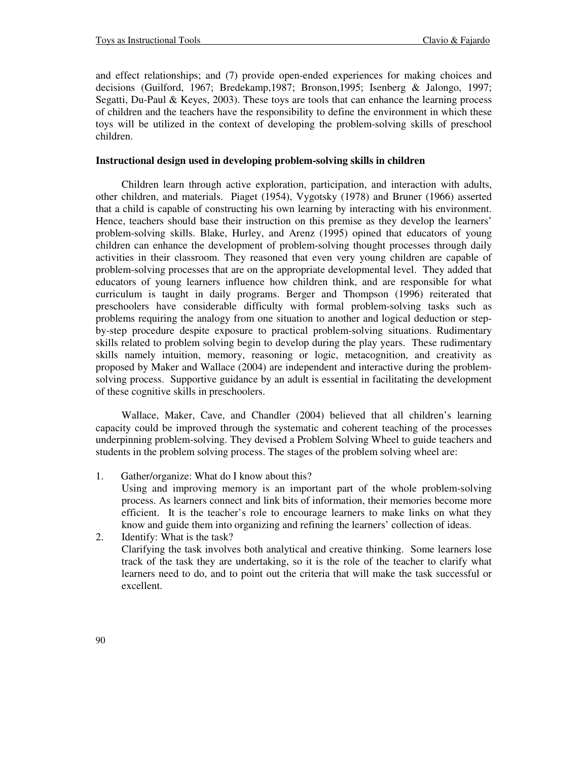and effect relationships; and (7) provide open-ended experiences for making choices and decisions (Guilford, 1967; Bredekamp,1987; Bronson,1995; Isenberg & Jalongo, 1997; Segatti, Du-Paul & Keyes, 2003). These toys are tools that can enhance the learning process of children and the teachers have the responsibility to define the environment in which these toys will be utilized in the context of developing the problem-solving skills of preschool children.

### **Instructional design used in developing problem-solving skills in children**

Children learn through active exploration, participation, and interaction with adults, other children, and materials. Piaget (1954), Vygotsky (1978) and Bruner (1966) asserted that a child is capable of constructing his own learning by interacting with his environment. Hence, teachers should base their instruction on this premise as they develop the learners' problem-solving skills. Blake, Hurley, and Arenz (1995) opined that educators of young children can enhance the development of problem-solving thought processes through daily activities in their classroom. They reasoned that even very young children are capable of problem-solving processes that are on the appropriate developmental level. They added that educators of young learners influence how children think, and are responsible for what curriculum is taught in daily programs. Berger and Thompson (1996) reiterated that preschoolers have considerable difficulty with formal problem-solving tasks such as problems requiring the analogy from one situation to another and logical deduction or stepby-step procedure despite exposure to practical problem-solving situations. Rudimentary skills related to problem solving begin to develop during the play years. These rudimentary skills namely intuition, memory, reasoning or logic, metacognition, and creativity as proposed by Maker and Wallace (2004) are independent and interactive during the problemsolving process. Supportive guidance by an adult is essential in facilitating the development of these cognitive skills in preschoolers.

Wallace, Maker, Cave, and Chandler (2004) believed that all children's learning capacity could be improved through the systematic and coherent teaching of the processes underpinning problem-solving. They devised a Problem Solving Wheel to guide teachers and students in the problem solving process. The stages of the problem solving wheel are:

1. Gather/organize: What do I know about this?

Using and improving memory is an important part of the whole problem-solving process. As learners connect and link bits of information, their memories become more efficient. It is the teacher's role to encourage learners to make links on what they know and guide them into organizing and refining the learners' collection of ideas.

2. Identify: What is the task? Clarifying the task involves both analytical and creative thinking. Some learners lose track of the task they are undertaking, so it is the role of the teacher to clarify what learners need to do, and to point out the criteria that will make the task successful or excellent.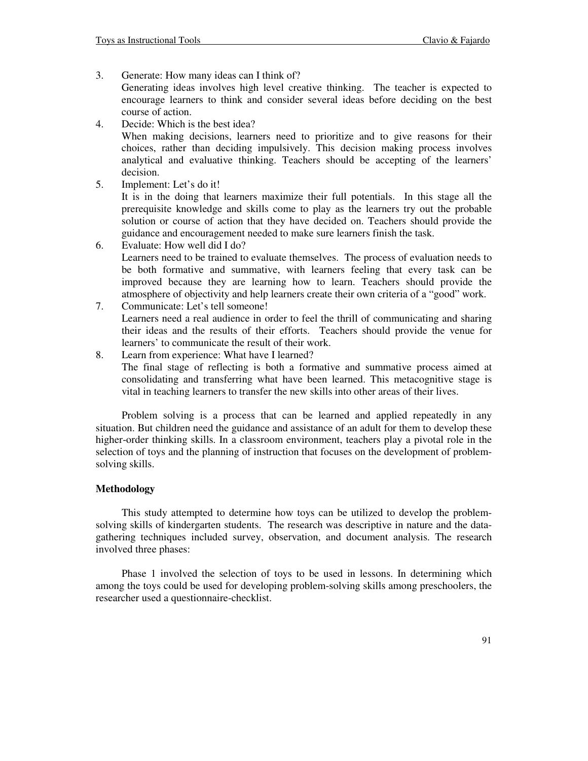3. Generate: How many ideas can I think of?

Generating ideas involves high level creative thinking. The teacher is expected to encourage learners to think and consider several ideas before deciding on the best course of action.

4. Decide: Which is the best idea?

When making decisions, learners need to prioritize and to give reasons for their choices, rather than deciding impulsively. This decision making process involves analytical and evaluative thinking. Teachers should be accepting of the learners' decision.

- 5. Implement: Let's do it! It is in the doing that learners maximize their full potentials. In this stage all the prerequisite knowledge and skills come to play as the learners try out the probable solution or course of action that they have decided on. Teachers should provide the guidance and encouragement needed to make sure learners finish the task.
- 6. Evaluate: How well did I do? Learners need to be trained to evaluate themselves. The process of evaluation needs to be both formative and summative, with learners feeling that every task can be improved because they are learning how to learn. Teachers should provide the atmosphere of objectivity and help learners create their own criteria of a "good" work.
- 7. Communicate: Let's tell someone! Learners need a real audience in order to feel the thrill of communicating and sharing their ideas and the results of their efforts. Teachers should provide the venue for learners' to communicate the result of their work.
- 8. Learn from experience: What have I learned? The final stage of reflecting is both a formative and summative process aimed at consolidating and transferring what have been learned. This metacognitive stage is vital in teaching learners to transfer the new skills into other areas of their lives.

Problem solving is a process that can be learned and applied repeatedly in any situation. But children need the guidance and assistance of an adult for them to develop these higher-order thinking skills. In a classroom environment, teachers play a pivotal role in the selection of toys and the planning of instruction that focuses on the development of problemsolving skills.

## **Methodology**

This study attempted to determine how toys can be utilized to develop the problemsolving skills of kindergarten students. The research was descriptive in nature and the datagathering techniques included survey, observation, and document analysis. The research involved three phases:

Phase 1 involved the selection of toys to be used in lessons. In determining which among the toys could be used for developing problem-solving skills among preschoolers, the researcher used a questionnaire-checklist.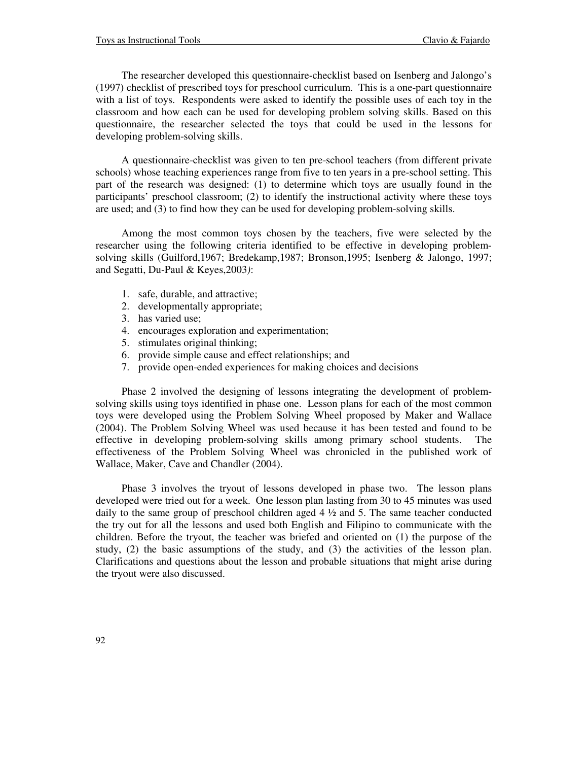The researcher developed this questionnaire-checklist based on Isenberg and Jalongo's (1997) checklist of prescribed toys for preschool curriculum. This is a one-part questionnaire with a list of toys. Respondents were asked to identify the possible uses of each toy in the classroom and how each can be used for developing problem solving skills. Based on this questionnaire, the researcher selected the toys that could be used in the lessons for developing problem-solving skills.

A questionnaire-checklist was given to ten pre-school teachers (from different private schools) whose teaching experiences range from five to ten years in a pre-school setting. This part of the research was designed: (1) to determine which toys are usually found in the participants' preschool classroom; (2) to identify the instructional activity where these toys are used; and (3) to find how they can be used for developing problem-solving skills.

Among the most common toys chosen by the teachers, five were selected by the researcher using the following criteria identified to be effective in developing problemsolving skills (Guilford,1967; Bredekamp,1987; Bronson,1995; Isenberg & Jalongo, 1997; and Segatti, Du-Paul & Keyes,2003*)*:

- 1. safe, durable, and attractive;
- 2. developmentally appropriate;
- 3. has varied use;
- 4. encourages exploration and experimentation;
- 5. stimulates original thinking;
- 6. provide simple cause and effect relationships; and
- 7. provide open-ended experiences for making choices and decisions

Phase 2 involved the designing of lessons integrating the development of problemsolving skills using toys identified in phase one. Lesson plans for each of the most common toys were developed using the Problem Solving Wheel proposed by Maker and Wallace (2004). The Problem Solving Wheel was used because it has been tested and found to be effective in developing problem-solving skills among primary school students. The effectiveness of the Problem Solving Wheel was chronicled in the published work of Wallace, Maker, Cave and Chandler (2004).

Phase 3 involves the tryout of lessons developed in phase two. The lesson plans developed were tried out for a week. One lesson plan lasting from 30 to 45 minutes was used daily to the same group of preschool children aged  $4\frac{1}{2}$  and 5. The same teacher conducted the try out for all the lessons and used both English and Filipino to communicate with the children. Before the tryout, the teacher was briefed and oriented on (1) the purpose of the study, (2) the basic assumptions of the study, and (3) the activities of the lesson plan. Clarifications and questions about the lesson and probable situations that might arise during the tryout were also discussed.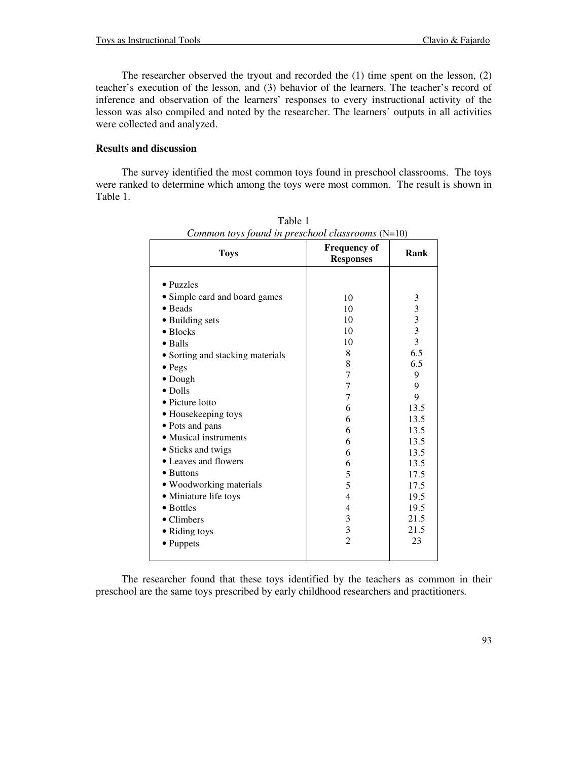The researcher observed the tryout and recorded the (1) time spent on the lesson, (2) teacher's execution of the lesson, and (3) behavior of the learners. The teacher's record of inference and observation of the learners' responses to every instructional activity of the lesson was also compiled and noted by the researcher. The learners' outputs in all activities were collected and analyzed.

## **Results and discussion**

The survey identified the most common toys found in preschool classrooms. The toys were ranked to determine which among the toys were most common. The result is shown in Table 1.

| Common to is found in preschool classrooms ( $N=10$ ) | <b>Frequency of</b> | Rank                    |
|-------------------------------------------------------|---------------------|-------------------------|
| <b>Toys</b>                                           | <b>Responses</b>    |                         |
|                                                       |                     |                         |
| • Puzzles                                             |                     |                         |
| • Simple card and board games                         | 10                  | 3                       |
| • Beads                                               | 10                  | $\overline{\mathbf{3}}$ |
| • Building sets                                       | 10                  | $\frac{3}{3}$           |
| $\bullet$ Blocks                                      | 10                  |                         |
| $\bullet$ Balls                                       | 10                  | $\overline{3}$          |
| • Sorting and stacking materials                      | 8                   | 6.5                     |
| $\bullet$ Pegs                                        | 8                   | 6.5                     |
| $\bullet$ Dough                                       | 7                   | 9                       |
| $\bullet$ Dolls                                       | 7                   | 9                       |
| • Picture lotto                                       | 7                   | 9                       |
| • Housekeeping toys                                   | 6                   | 13.5                    |
| • Pots and pans                                       | 6                   | 13.5                    |
| • Musical instruments                                 | 6                   | 13.5                    |
| • Sticks and twigs                                    | 6                   | 13.5                    |
| • Leaves and flowers                                  | 6                   | 13.5                    |
| • Buttons                                             | 6                   | 13.5                    |
|                                                       | 5                   | 17.5                    |
| • Woodworking materials                               | 5                   | 17.5                    |
| • Miniature life toys                                 | 4                   | 19.5                    |
| • Bottles                                             | 4                   | 19.5                    |
| $\bullet$ Climbers                                    | 3                   | 21.5                    |
| • Riding toys                                         | 3                   | 21.5                    |
| • Puppets                                             | $\overline{2}$      | 23                      |
|                                                       |                     |                         |

Table 1 *Common toys found in preschool classrooms* (N=10)

The researcher found that these toys identified by the teachers as common in their preschool are the same toys prescribed by early childhood researchers and practitioners*.*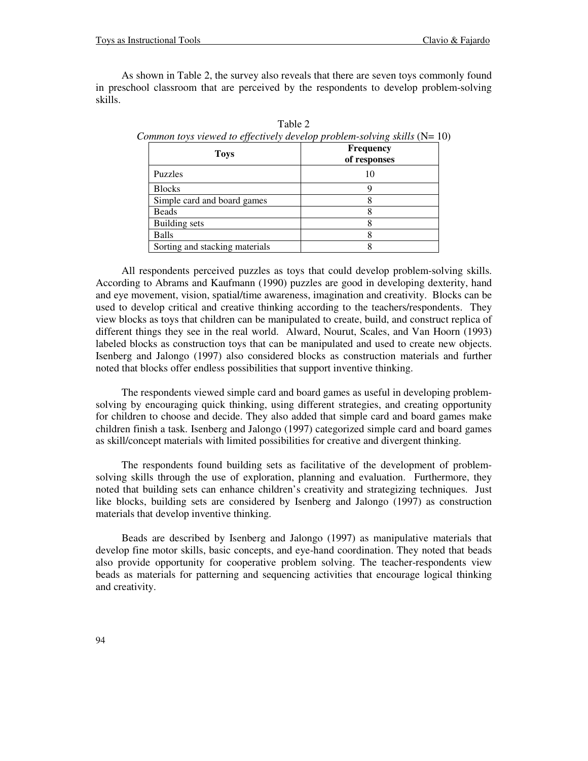As shown in Table 2, the survey also reveals that there are seven toys commonly found in preschool classroom that are perceived by the respondents to develop problem-solving skills.

| <b>Toys</b>                    | <b>Frequency</b><br>of responses |  |
|--------------------------------|----------------------------------|--|
| <b>Puzzles</b>                 | ю                                |  |
| <b>Blocks</b>                  |                                  |  |
| Simple card and board games    |                                  |  |
| Beads                          |                                  |  |
| <b>Building sets</b>           |                                  |  |
| Balls                          |                                  |  |
| Sorting and stacking materials |                                  |  |

Table 2 *Common toys viewed to effectively develop problem-solving skills* (N= 10)

All respondents perceived puzzles as toys that could develop problem-solving skills. According to Abrams and Kaufmann (1990) puzzles are good in developing dexterity, hand and eye movement, vision, spatial/time awareness, imagination and creativity. Blocks can be used to develop critical and creative thinking according to the teachers/respondents. They view blocks as toys that children can be manipulated to create, build, and construct replica of different things they see in the real world. Alward, Nourut, Scales, and Van Hoorn (1993) labeled blocks as construction toys that can be manipulated and used to create new objects. Isenberg and Jalongo (1997) also considered blocks as construction materials and further noted that blocks offer endless possibilities that support inventive thinking.

The respondents viewed simple card and board games as useful in developing problemsolving by encouraging quick thinking, using different strategies, and creating opportunity for children to choose and decide. They also added that simple card and board games make children finish a task. Isenberg and Jalongo (1997) categorized simple card and board games as skill/concept materials with limited possibilities for creative and divergent thinking.

The respondents found building sets as facilitative of the development of problemsolving skills through the use of exploration, planning and evaluation. Furthermore, they noted that building sets can enhance children's creativity and strategizing techniques. Just like blocks, building sets are considered by Isenberg and Jalongo (1997) as construction materials that develop inventive thinking.

Beads are described by Isenberg and Jalongo (1997) as manipulative materials that develop fine motor skills, basic concepts, and eye-hand coordination. They noted that beads also provide opportunity for cooperative problem solving. The teacher-respondents view beads as materials for patterning and sequencing activities that encourage logical thinking and creativity.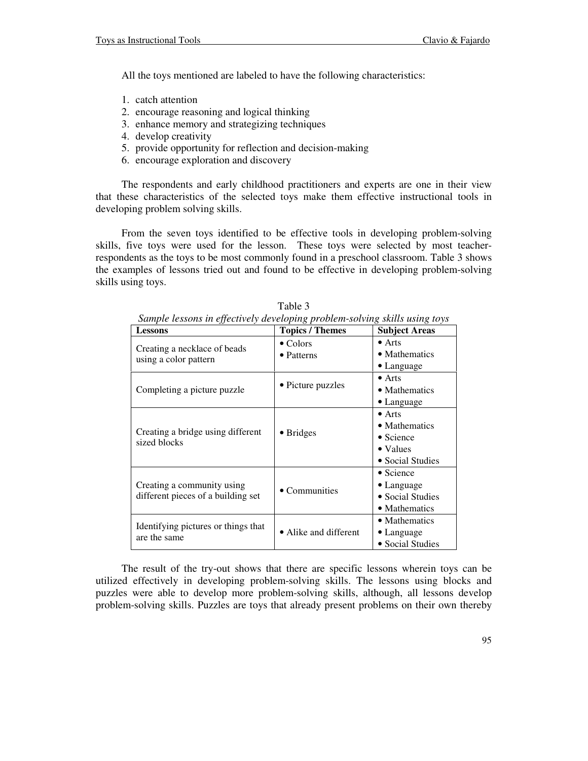All the toys mentioned are labeled to have the following characteristics:

- 1. catch attention
- 2. encourage reasoning and logical thinking
- 3. enhance memory and strategizing techniques
- 4. develop creativity
- 5. provide opportunity for reflection and decision-making
- 6. encourage exploration and discovery

The respondents and early childhood practitioners and experts are one in their view that these characteristics of the selected toys make them effective instructional tools in developing problem solving skills.

From the seven toys identified to be effective tools in developing problem-solving skills, five toys were used for the lesson. These toys were selected by most teacherrespondents as the toys to be most commonly found in a preschool classroom. Table 3 shows the examples of lessons tried out and found to be effective in developing problem-solving skills using toys.

| IJ<br><b>Lessons</b>                                             | $\circ$ $\iota$<br><b>Topics / Themes</b> | <b>Subject Areas</b>                                                                         |  |
|------------------------------------------------------------------|-------------------------------------------|----------------------------------------------------------------------------------------------|--|
| Creating a necklace of beads<br>using a color pattern            | $\bullet$ Colors<br>• Patterns            | $\bullet$ Arts<br>• Mathematics                                                              |  |
|                                                                  |                                           | $\bullet$ Language<br>$\bullet$ Arts                                                         |  |
| Completing a picture puzzle                                      | • Picture puzzles                         | • Mathematics                                                                                |  |
|                                                                  |                                           | $\bullet$ Language                                                                           |  |
| Creating a bridge using different<br>sized blocks                | $\bullet$ Bridges                         | $\bullet$ Arts<br>• Mathematics<br>$\bullet$ Science<br>$\bullet$ Values<br>• Social Studies |  |
| Creating a community using<br>different pieces of a building set | • Communities                             | $\bullet$ Science<br>$\bullet$ Language<br>• Social Studies<br>• Mathematics                 |  |
| Identifying pictures or things that<br>are the same              | • Alike and different                     | • Mathematics<br>• Language<br>• Social Studies                                              |  |

Table 3 *Sample lessons in effectively developing problem-solving skills using toys* 

The result of the try-out shows that there are specific lessons wherein toys can be utilized effectively in developing problem-solving skills. The lessons using blocks and puzzles were able to develop more problem-solving skills, although, all lessons develop problem-solving skills. Puzzles are toys that already present problems on their own thereby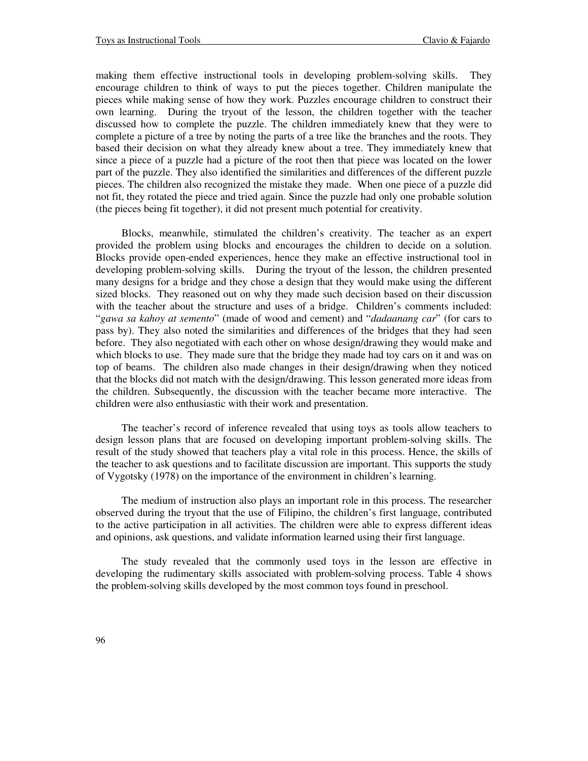making them effective instructional tools in developing problem-solving skills. They encourage children to think of ways to put the pieces together. Children manipulate the pieces while making sense of how they work. Puzzles encourage children to construct their own learning. During the tryout of the lesson, the children together with the teacher discussed how to complete the puzzle. The children immediately knew that they were to complete a picture of a tree by noting the parts of a tree like the branches and the roots. They based their decision on what they already knew about a tree. They immediately knew that since a piece of a puzzle had a picture of the root then that piece was located on the lower part of the puzzle. They also identified the similarities and differences of the different puzzle pieces. The children also recognized the mistake they made. When one piece of a puzzle did not fit, they rotated the piece and tried again. Since the puzzle had only one probable solution (the pieces being fit together), it did not present much potential for creativity.

Blocks, meanwhile, stimulated the children's creativity. The teacher as an expert provided the problem using blocks and encourages the children to decide on a solution. Blocks provide open-ended experiences, hence they make an effective instructional tool in developing problem-solving skills. During the tryout of the lesson, the children presented many designs for a bridge and they chose a design that they would make using the different sized blocks. They reasoned out on why they made such decision based on their discussion with the teacher about the structure and uses of a bridge. Children's comments included: "*gawa sa kahoy at semento*" (made of wood and cement) and "*dadaanang car*" (for cars to pass by). They also noted the similarities and differences of the bridges that they had seen before. They also negotiated with each other on whose design/drawing they would make and which blocks to use. They made sure that the bridge they made had toy cars on it and was on top of beams. The children also made changes in their design/drawing when they noticed that the blocks did not match with the design/drawing. This lesson generated more ideas from the children. Subsequently, the discussion with the teacher became more interactive. The children were also enthusiastic with their work and presentation.

The teacher's record of inference revealed that using toys as tools allow teachers to design lesson plans that are focused on developing important problem-solving skills. The result of the study showed that teachers play a vital role in this process. Hence, the skills of the teacher to ask questions and to facilitate discussion are important. This supports the study of Vygotsky (1978) on the importance of the environment in children's learning.

The medium of instruction also plays an important role in this process. The researcher observed during the tryout that the use of Filipino, the children's first language, contributed to the active participation in all activities. The children were able to express different ideas and opinions, ask questions, and validate information learned using their first language.

The study revealed that the commonly used toys in the lesson are effective in developing the rudimentary skills associated with problem-solving process. Table 4 shows the problem-solving skills developed by the most common toys found in preschool.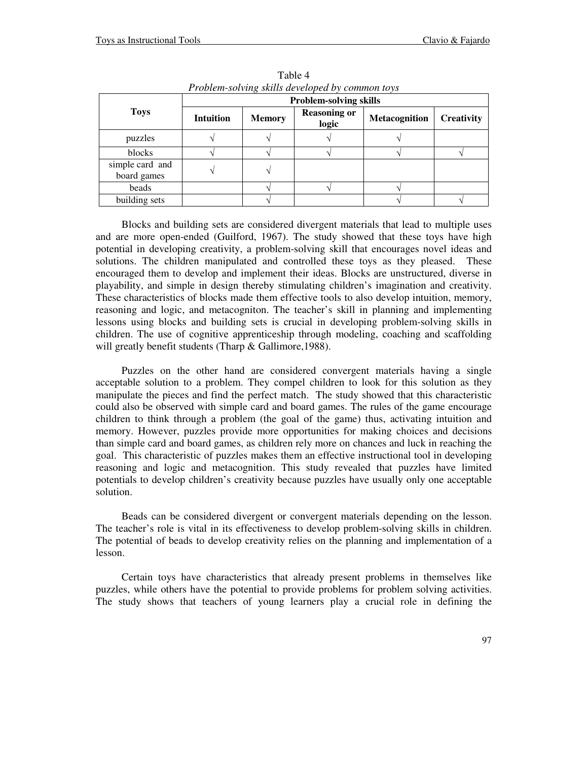| Thometh-surving skills developed by common toys |                               |               |                              |                      |                   |  |  |
|-------------------------------------------------|-------------------------------|---------------|------------------------------|----------------------|-------------------|--|--|
| <b>Toys</b>                                     | <b>Problem-solving skills</b> |               |                              |                      |                   |  |  |
|                                                 | <b>Intuition</b>              | <b>Memory</b> | <b>Reasoning or</b><br>logic | <b>Metacognition</b> | <b>Creativity</b> |  |  |
| puzzles                                         |                               |               |                              |                      |                   |  |  |
| blocks                                          |                               |               |                              |                      |                   |  |  |
| simple card and<br>board games                  |                               |               |                              |                      |                   |  |  |
| beads                                           |                               |               |                              |                      |                   |  |  |
| building sets                                   |                               |               |                              |                      |                   |  |  |

Table 4 *Problem-solving skills developed by common toys* 

Blocks and building sets are considered divergent materials that lead to multiple uses and are more open-ended (Guilford, 1967). The study showed that these toys have high potential in developing creativity, a problem-solving skill that encourages novel ideas and solutions. The children manipulated and controlled these toys as they pleased. These encouraged them to develop and implement their ideas. Blocks are unstructured, diverse in playability, and simple in design thereby stimulating children's imagination and creativity. These characteristics of blocks made them effective tools to also develop intuition, memory, reasoning and logic, and metacogniton. The teacher's skill in planning and implementing lessons using blocks and building sets is crucial in developing problem-solving skills in children. The use of cognitive apprenticeship through modeling, coaching and scaffolding will greatly benefit students (Tharp & Gallimore, 1988).

Puzzles on the other hand are considered convergent materials having a single acceptable solution to a problem. They compel children to look for this solution as they manipulate the pieces and find the perfect match. The study showed that this characteristic could also be observed with simple card and board games. The rules of the game encourage children to think through a problem (the goal of the game) thus, activating intuition and memory. However, puzzles provide more opportunities for making choices and decisions than simple card and board games, as children rely more on chances and luck in reaching the goal. This characteristic of puzzles makes them an effective instructional tool in developing reasoning and logic and metacognition. This study revealed that puzzles have limited potentials to develop children's creativity because puzzles have usually only one acceptable solution.

Beads can be considered divergent or convergent materials depending on the lesson. The teacher's role is vital in its effectiveness to develop problem-solving skills in children. The potential of beads to develop creativity relies on the planning and implementation of a lesson.

Certain toys have characteristics that already present problems in themselves like puzzles, while others have the potential to provide problems for problem solving activities. The study shows that teachers of young learners play a crucial role in defining the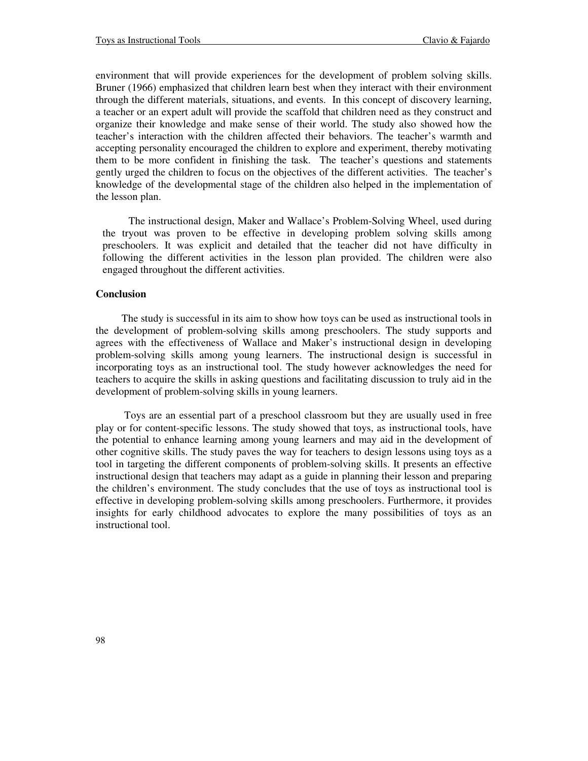environment that will provide experiences for the development of problem solving skills. Bruner (1966) emphasized that children learn best when they interact with their environment through the different materials, situations, and events. In this concept of discovery learning, a teacher or an expert adult will provide the scaffold that children need as they construct and organize their knowledge and make sense of their world. The study also showed how the teacher's interaction with the children affected their behaviors. The teacher's warmth and accepting personality encouraged the children to explore and experiment, thereby motivating them to be more confident in finishing the task. The teacher's questions and statements gently urged the children to focus on the objectives of the different activities. The teacher's knowledge of the developmental stage of the children also helped in the implementation of the lesson plan.

The instructional design, Maker and Wallace's Problem-Solving Wheel, used during the tryout was proven to be effective in developing problem solving skills among preschoolers. It was explicit and detailed that the teacher did not have difficulty in following the different activities in the lesson plan provided. The children were also engaged throughout the different activities.

#### **Conclusion**

The study is successful in its aim to show how toys can be used as instructional tools in the development of problem-solving skills among preschoolers. The study supports and agrees with the effectiveness of Wallace and Maker's instructional design in developing problem-solving skills among young learners. The instructional design is successful in incorporating toys as an instructional tool. The study however acknowledges the need for teachers to acquire the skills in asking questions and facilitating discussion to truly aid in the development of problem-solving skills in young learners.

 Toys are an essential part of a preschool classroom but they are usually used in free play or for content-specific lessons. The study showed that toys, as instructional tools, have the potential to enhance learning among young learners and may aid in the development of other cognitive skills. The study paves the way for teachers to design lessons using toys as a tool in targeting the different components of problem-solving skills. It presents an effective instructional design that teachers may adapt as a guide in planning their lesson and preparing the children's environment. The study concludes that the use of toys as instructional tool is effective in developing problem-solving skills among preschoolers. Furthermore, it provides insights for early childhood advocates to explore the many possibilities of toys as an instructional tool.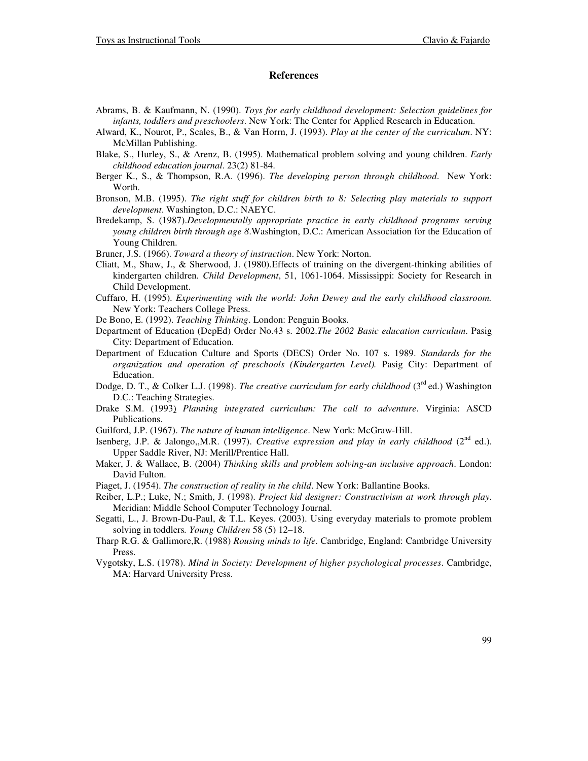#### **References**

- Abrams, B. & Kaufmann, N. (1990). *Toys for early childhood development: Selection guidelines for infants, toddlers and preschoolers*. New York: The Center for Applied Research in Education.
- Alward, K., Nourot, P., Scales, B., & Van Horrn, J. (1993). *Play at the center of the curriculum*. NY: McMillan Publishing.
- Blake, S., Hurley, S., & Arenz, B. (1995). Mathematical problem solving and young children. *Early childhood education journal*. 23(2) 81-84.
- Berger K., S., & Thompson, R.A. (1996). *The developing person through childhood*. New York: Worth.
- Bronson, M.B. (1995). *The right stuff for children birth to 8: Selecting play materials to support development*. Washington, D.C.: NAEYC.
- Bredekamp, S. (1987).*Developmentally appropriate practice in early childhood programs serving young children birth through age 8*.Washington, D.C.: American Association for the Education of Young Children.
- Bruner, J.S. (1966). *Toward a theory of instruction*. New York: Norton.
- Cliatt, M., Shaw, J., & Sherwood, J. (1980).Effects of training on the divergent-thinking abilities of kindergarten children. *Child Development*, 51, 1061-1064. Mississippi: Society for Research in Child Development.
- Cuffaro, H. (1995). *Experimenting with the world: John Dewey and the early childhood classroom.* New York: Teachers College Press.
- De Bono, E. (1992). *Teaching Thinking*. London: Penguin Books.
- Department of Education (DepEd) Order No.43 s. 2002.*The 2002 Basic education curriculum*. Pasig City: Department of Education.
- Department of Education Culture and Sports (DECS) Order No. 107 s. 1989. *Standards for the organization and operation of preschools (Kindergarten Level).* Pasig City: Department of Education.
- Dodge, D. T., & Colker L.J. (1998). *The creative curriculum for early childhood* (3<sup>rd</sup> ed.) Washington D.C.: Teaching Strategies.
- Drake S.M. (1993) *Planning integrated curriculum: The call to adventure*. Virginia: ASCD Publications.
- Guilford, J.P. (1967). *The nature of human intelligence*. New York: McGraw-Hill.
- Isenberg, J.P. & Jalongo,,M.R. (1997). *Creative expression and play in early childhood* (2<sup>nd</sup> ed.). Upper Saddle River, NJ: Merill/Prentice Hall.
- Maker, J. & Wallace, B. (2004) *Thinking skills and problem solving-an inclusive approach*. London: David Fulton.
- Piaget, J. (1954). *The construction of reality in the child*. New York: Ballantine Books.
- Reiber, L.P.; Luke, N.; Smith, J. (1998). *Project kid designer: Constructivism at work through play*. Meridian: Middle School Computer Technology Journal.
- Segatti, L., J. Brown-Du-Paul, & T.L. Keyes. (2003). Using everyday materials to promote problem solving in toddlers*. Young Children* 58 (5) 12–18.
- Tharp R.G. & Gallimore,R. (1988) *Rousing minds to life*. Cambridge, England: Cambridge University Press.
- Vygotsky, L.S. (1978). *Mind in Society: Development of higher psychological processes*. Cambridge, MA: Harvard University Press.